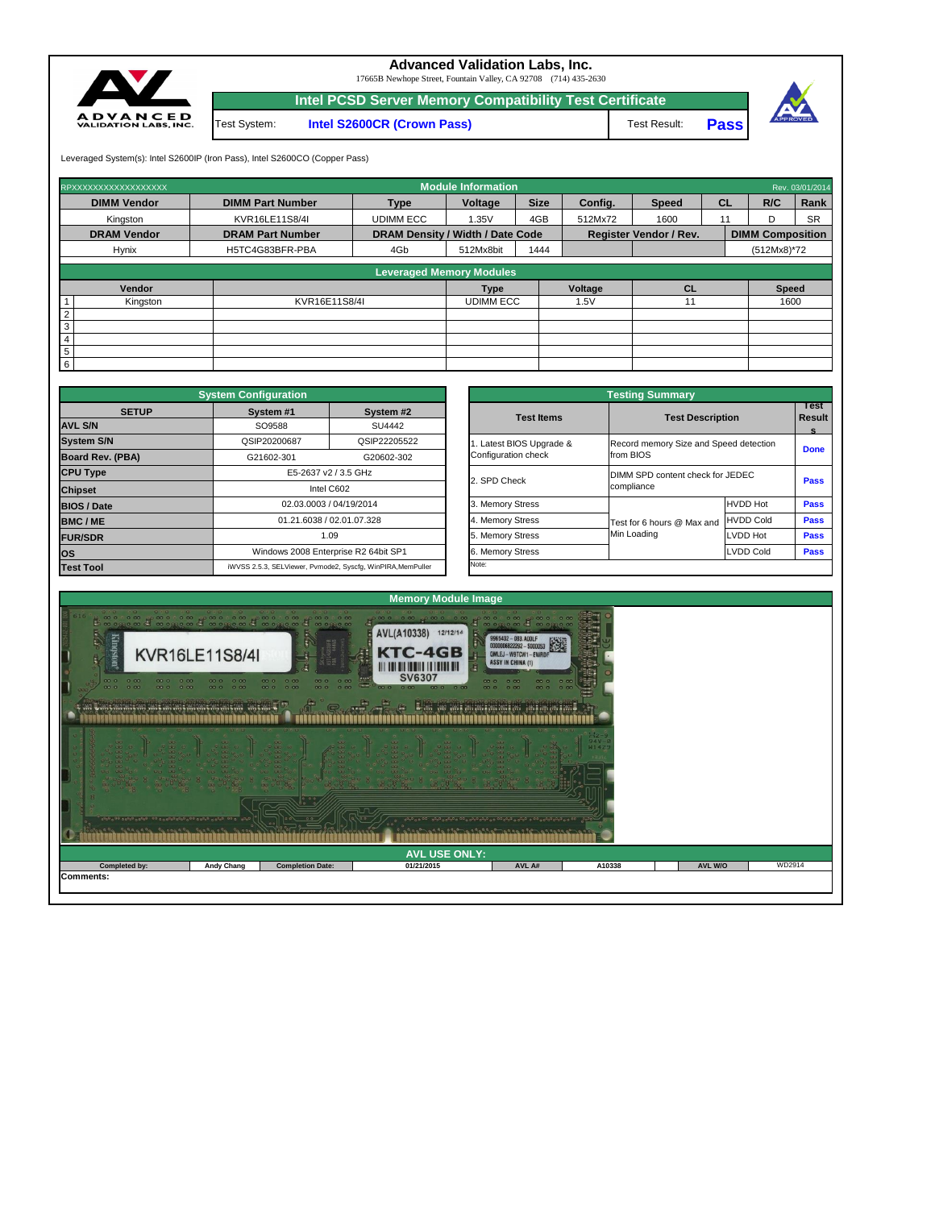| reache receive le conseile reache le comme |                   | 0.0                     | <u>in großig in großig in großig für gestig. In des gen in des generalistischen Einstalt in der Sp</u> | 1990 999 190 990 990 000 000 000000 000000 |        |                |        |
|--------------------------------------------|-------------------|-------------------------|--------------------------------------------------------------------------------------------------------|--------------------------------------------|--------|----------------|--------|
|                                            |                   |                         | <b>AVL USE ONLY:</b>                                                                                   |                                            |        |                |        |
| Completed by:                              | <b>Andy Chang</b> | <b>Completion Date:</b> | 01/21/2015                                                                                             | AVL A#                                     | A10338 | <b>AVL W/O</b> | WD2914 |
| <b>Comments:</b>                           |                   |                         |                                                                                                        |                                            |        |                |        |



|                                                 | <b>Testing Summary</b>                              |                  |                            |
|-------------------------------------------------|-----------------------------------------------------|------------------|----------------------------|
| <b>Test Items</b>                               | <b>Test Description</b>                             |                  | Test<br><b>Result</b><br>s |
| 1. Latest BIOS Upgrade &<br>Configuration check | Record memory Size and Speed detection<br>from BIOS |                  | <b>Done</b>                |
| 2. SPD Check                                    | DIMM SPD content check for JEDEC<br>compliance      |                  | <b>Pass</b>                |
| 3. Memory Stress                                |                                                     | <b>HVDD Hot</b>  | <b>Pass</b>                |
| 4. Memory Stress                                | Test for 6 hours @ Max and                          | <b>HVDD Cold</b> | <b>Pass</b>                |
| 5. Memory Stress                                | Min Loading                                         | LVDD Hot         | <b>Pass</b>                |
| 6. Memory Stress                                |                                                     | <b>LVDD Cold</b> | <b>Pass</b>                |
| Note:                                           |                                                     |                  |                            |

| RPXXXXXXXXXXXXXXXXX |                         |                                         | <b>Module Information</b>       |             |         |                               |           |                         | Rev. 03/01/2014 |
|---------------------|-------------------------|-----------------------------------------|---------------------------------|-------------|---------|-------------------------------|-----------|-------------------------|-----------------|
| <b>DIMM Vendor</b>  | <b>DIMM Part Number</b> | <b>Type</b>                             | Voltage                         | <b>Size</b> | Config. | <b>Speed</b>                  | <b>CL</b> | R/C                     | Rank            |
| Kingston            | KVR16LE11S8/4I          | <b>UDIMM ECC</b>                        | 1.35V                           | 4GB         | 512Mx72 | 1600                          | 11        | D                       | <b>SR</b>       |
| <b>DRAM Vendor</b>  | <b>DRAM Part Number</b> | <b>DRAM Density / Width / Date Code</b> |                                 |             |         | <b>Register Vendor / Rev.</b> |           | <b>DIMM Composition</b> |                 |
| Hynix               | H5TC4G83BFR-PBA         | 4Gb                                     | 512Mx8bit                       | 1444        |         |                               |           | $(512Mx8)*72$           |                 |
|                     |                         |                                         | <b>Leveraged Memory Modules</b> |             |         |                               |           |                         |                 |
|                     |                         |                                         |                                 |             |         |                               |           |                         |                 |
| Vendor              |                         |                                         | Type                            |             | Voltage | <b>CL</b>                     |           | <b>Speed</b>            |                 |
| Kingston            | KVR16E11S8/4I           |                                         | <b>UDIMM ECC</b>                |             | 1.5V    | 11                            |           | 1600                    |                 |
| $\overline{2}$      |                         |                                         |                                 |             |         |                               |           |                         |                 |
| $\mathbf{3}$        |                         |                                         |                                 |             |         |                               |           |                         |                 |
| $\overline{4}$      |                         |                                         |                                 |             |         |                               |           |                         |                 |
| $5\phantom{.0}$     |                         |                                         |                                 |             |         |                               |           |                         |                 |
| 6                   |                         |                                         |                                 |             |         |                               |           |                         |                 |

|                         | <b>System Configuration</b> |                                                             |                       | <b>Testing Summary</b>                 |                  |               |
|-------------------------|-----------------------------|-------------------------------------------------------------|-----------------------|----------------------------------------|------------------|---------------|
| <b>SETUP</b>            | System #1                   | System #2                                                   | <b>Test Items</b>     | <b>Test Description</b>                |                  | Test<br>Resul |
| <b>AVL S/N</b>          | SO9588                      | SU4442                                                      |                       |                                        |                  | $\mathbf{s}$  |
| <b>System S/N</b>       | QSIP20200687                | QSIP22205522                                                | Latest BIOS Upgrade & | Record memory Size and Speed detection |                  |               |
| <b>Board Rev. (PBA)</b> | G21602-301                  | G20602-302                                                  | Configuration check   | from BIOS                              |                  | Done          |
| <b>CPU Type</b>         |                             | E5-2637 v2 / 3.5 GHz                                        |                       | DIMM SPD content check for JEDEC       |                  |               |
| <b>Chipset</b>          |                             | Intel C602                                                  | 2. SPD Check          | compliance                             |                  | <b>Pass</b>   |
| <b>BIOS / Date</b>      |                             | 02.03.0003 / 04/19/2014                                     | 3. Memory Stress      |                                        | <b>HVDD Hot</b>  | <b>Pass</b>   |
| <b>BMC/ME</b>           |                             | 01.21.6038 / 02.01.07.328                                   | 4. Memory Stress      | Test for 6 hours @ Max and             | <b>HVDD Cold</b> | <b>Pass</b>   |
| <b>FUR/SDR</b>          |                             | 1.09                                                        | 5. Memory Stress      | Min Loading                            | <b>LVDD Hot</b>  | <b>Pass</b>   |
| <b>los</b>              |                             | Windows 2008 Enterprise R2 64bit SP1                        | 6. Memory Stress      |                                        | LVDD Cold        | <b>Pass</b>   |
| <b>Test Tool</b>        |                             | iWVSS 2.5.3, SELViewer, Pvmode2, Syscfg, WinPIRA, MemPuller | Note:                 |                                        |                  |               |

**Pass**

Test System: **Intel S2600CR (Crown Pass)**



**Advanced Validation Labs, Inc.** 

17665B Newhope Street, Fountain Valley, CA 92708 (714) 435-2630

Leveraged System(s): Intel S2600IP (Iron Pass), Intel S2600CO (Copper Pass)

**Intel PCSD Server Memory Compatibility Test Certificate**

Test Result: